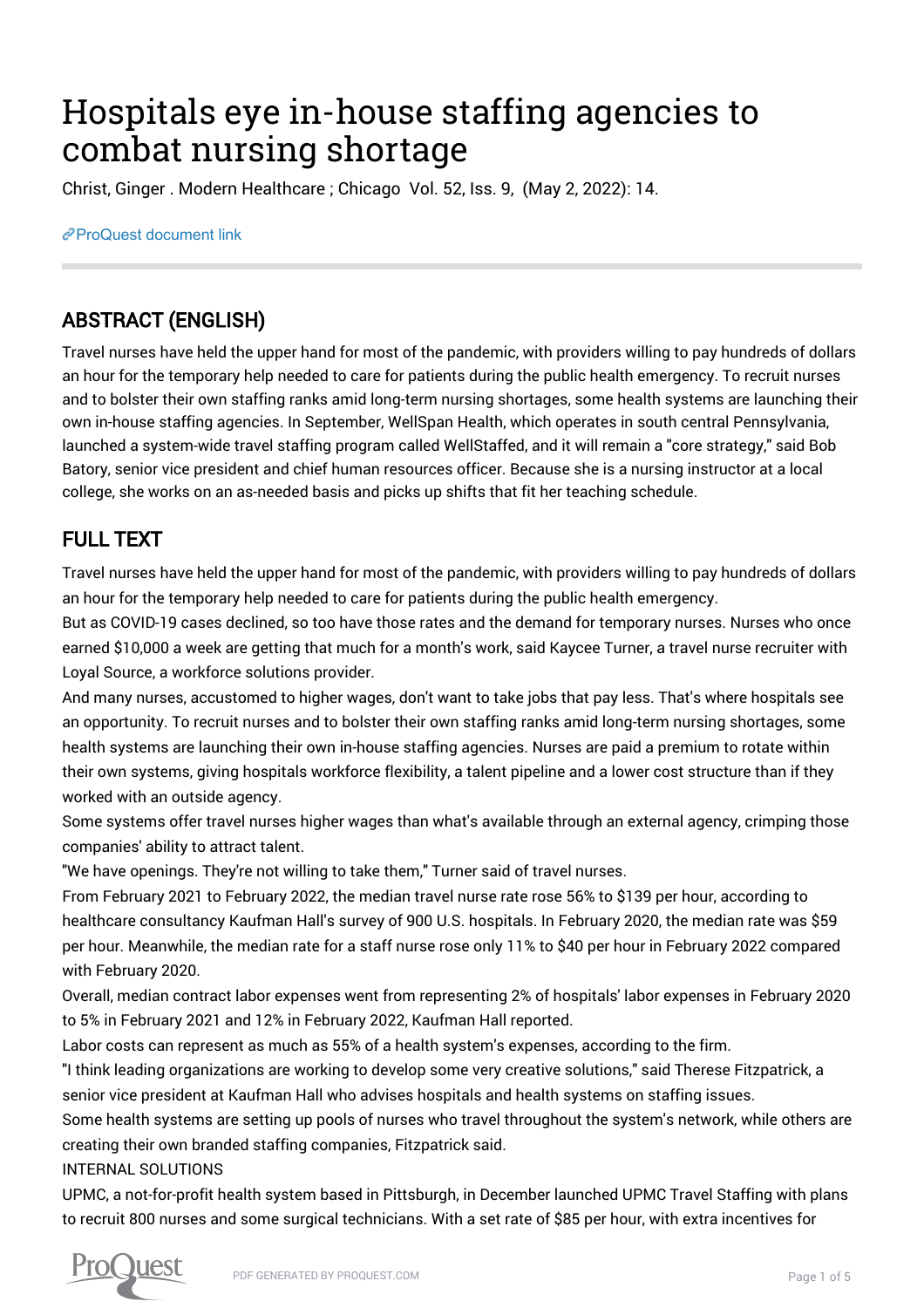# Hospitals eye in-house staffing agencies to combat nursing shortage

Christ, Ginger . Modern Healthcare ; Chicago Vol. 52, Iss. 9, (May 2, 2022): 14.

[ProQuest document link](https://www.proquest.com/trade-journals/hospitals-eye-house-staffing-agencies-combat/docview/2659705590/se-2?accountid=44910)

## ABSTRACT (ENGLISH)

Travel nurses have held the upper hand for most of the pandemic, with providers willing to pay hundreds of dollars an hour for the temporary help needed to care for patients during the public health emergency. To recruit nurses and to bolster their own staffing ranks amid long-term nursing shortages, some health systems are launching their own in-house staffing agencies. In September, WellSpan Health, which operates in south central Pennsylvania, launched a system-wide travel staffing program called WellStaffed, and it will remain a "core strategy," said Bob Batory, senior vice president and chief human resources officer. Because she is a nursing instructor at a local college, she works on an as-needed basis and picks up shifts that fit her teaching schedule.

## FULL TEXT

Travel nurses have held the upper hand for most of the pandemic, with providers willing to pay hundreds of dollars an hour for the temporary help needed to care for patients during the public health emergency.

But as COVID-19 cases declined, so too have those rates and the demand for temporary nurses. Nurses who once earned \$10,000 a week are getting that much for a month's work, said Kaycee Turner, a travel nurse recruiter with Loyal Source, a workforce solutions provider.

And many nurses, accustomed to higher wages, don't want to take jobs that pay less. That's where hospitals see an opportunity. To recruit nurses and to bolster their own staffing ranks amid long-term nursing shortages, some health systems are launching their own in-house staffing agencies. Nurses are paid a premium to rotate within their own systems, giving hospitals workforce flexibility, a talent pipeline and a lower cost structure than if they worked with an outside agency.

Some systems offer travel nurses higher wages than what's available through an external agency, crimping those companies' ability to attract talent.

"We have openings. They're not willing to take them," Turner said of travel nurses.

From February 2021 to February 2022, the median travel nurse rate rose 56% to \$139 per hour, according to healthcare consultancy Kaufman Hall's survey of 900 U.S. hospitals. In February 2020, the median rate was \$59 per hour. Meanwhile, the median rate for a staff nurse rose only 11% to \$40 per hour in February 2022 compared with February 2020.

Overall, median contract labor expenses went from representing 2% of hospitals' labor expenses in February 2020 to 5% in February 2021 and 12% in February 2022, Kaufman Hall reported.

Labor costs can represent as much as 55% of a health system's expenses, according to the firm.

"I think leading organizations are working to develop some very creative solutions," said Therese Fitzpatrick, a senior vice president at Kaufman Hall who advises hospitals and health systems on staffing issues.

Some health systems are setting up pools of nurses who travel throughout the system's network, while others are creating their own branded staffing companies, Fitzpatrick said.

#### INTERNAL SOLUTIONS

UPMC, a not-for-profit health system based in Pittsburgh, in December launched UPMC Travel Staffing with plans to recruit 800 nurses and some surgical technicians. With a set rate of \$85 per hour, with extra incentives for

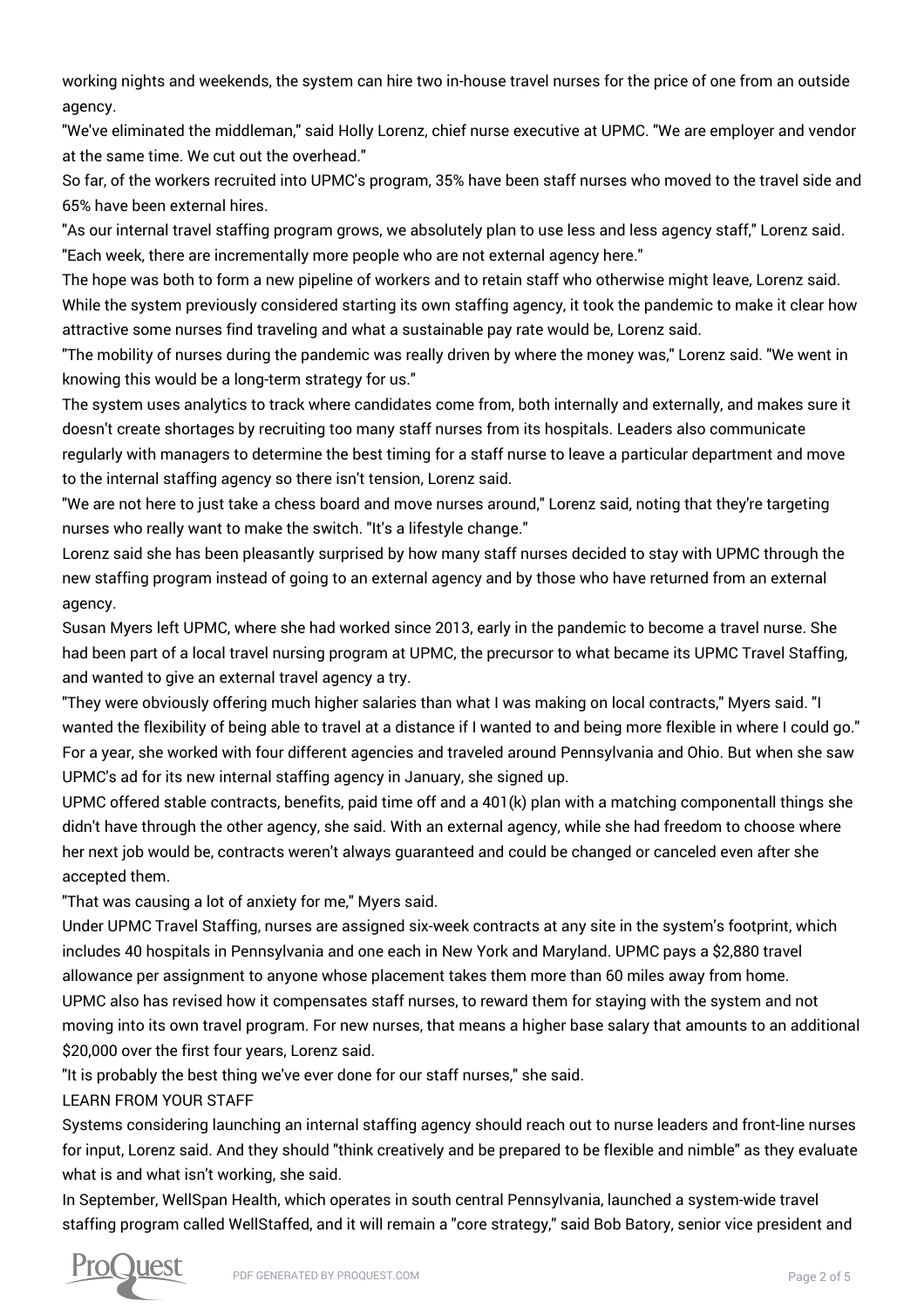working nights and weekends, the system can hire two in-house travel nurses for the price of one from an outside agency.

"We've eliminated the middleman," said Holly Lorenz, chief nurse executive at UPMC. "We are employer and vendor at the same time. We cut out the overhead."

So far, of the workers recruited into UPMC's program, 35% have been staff nurses who moved to the travel side and 65% have been external hires.

"As our internal travel staffing program grows, we absolutely plan to use less and less agency staff," Lorenz said. "Each week, there are incrementally more people who are not external agency here."

The hope was both to form a new pipeline of workers and to retain staff who otherwise might leave, Lorenz said. While the system previously considered starting its own staffing agency, it took the pandemic to make it clear how attractive some nurses find traveling and what a sustainable pay rate would be, Lorenz said.

"The mobility of nurses during the pandemic was really driven by where the money was," Lorenz said. "We went in knowing this would be a long-term strategy for us."

The system uses analytics to track where candidates come from, both internally and externally, and makes sure it doesn't create shortages by recruiting too many staff nurses from its hospitals. Leaders also communicate regularly with managers to determine the best timing for a staff nurse to leave a particular department and move to the internal staffing agency so there isn't tension, Lorenz said.

"We are not here to just take a chess board and move nurses around," Lorenz said, noting that they're targeting nurses who really want to make the switch. "It's a lifestyle change."

Lorenz said she has been pleasantly surprised by how many staff nurses decided to stay with UPMC through the new staffing program instead of going to an external agency and by those who have returned from an external agency.

Susan Myers left UPMC, where she had worked since 2013, early in the pandemic to become a travel nurse. She had been part of a local travel nursing program at UPMC, the precursor to what became its UPMC Travel Staffing, and wanted to give an external travel agency a try.

"They were obviously offering much higher salaries than what I was making on local contracts," Myers said. "I wanted the flexibility of being able to travel at a distance if I wanted to and being more flexible in where I could go." For a year, she worked with four different agencies and traveled around Pennsylvania and Ohio. But when she saw UPMC's ad for its new internal staffing agency in January, she signed up.

UPMC offered stable contracts, benefits, paid time off and a 401(k) plan with a matching componentall things she didn't have through the other agency, she said. With an external agency, while she had freedom to choose where her next job would be, contracts weren't always guaranteed and could be changed or canceled even after she accepted them.

"That was causing a lot of anxiety for me," Myers said.

Under UPMC Travel Staffing, nurses are assigned six-week contracts at any site in the system's footprint, which includes 40 hospitals in Pennsylvania and one each in New York and Maryland. UPMC pays a \$2,880 travel allowance per assignment to anyone whose placement takes them more than 60 miles away from home. UPMC also has revised how it compensates staff nurses, to reward them for staying with the system and not moving into its own travel program. For new nurses, that means a higher base salary that amounts to an additional \$20,000 over the first four years, Lorenz said.

"It is probably the best thing we've ever done for our staff nurses," she said.

LEARN FROM YOUR STAFF

Systems considering launching an internal staffing agency should reach out to nurse leaders and front-line nurses for input, Lorenz said. And they should "think creatively and be prepared to be flexible and nimble" as they evaluate what is and what isn't working, she said.

In September, WellSpan Health, which operates in south central Pennsylvania, launched a system-wide travel staffing program called WellStaffed, and it will remain a "core strategy," said Bob Batory, senior vice president and

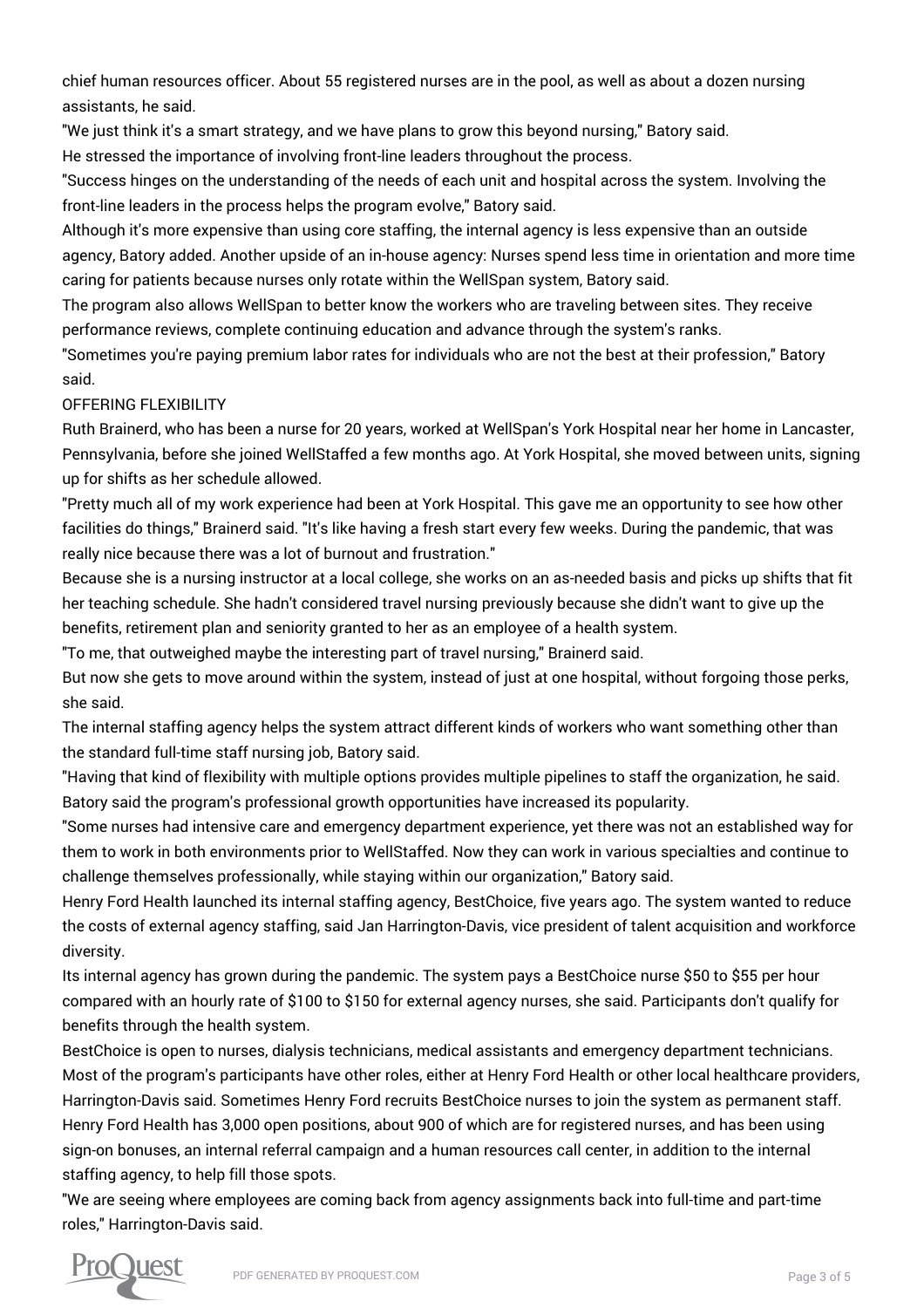chief human resources officer. About 55 registered nurses are in the pool, as well as about a dozen nursing assistants, he said.

"We just think it's a smart strategy, and we have plans to grow this beyond nursing," Batory said.

He stressed the importance of involving front-line leaders throughout the process.

"Success hinges on the understanding of the needs of each unit and hospital across the system. Involving the front-line leaders in the process helps the program evolve," Batory said.

Although it's more expensive than using core staffing, the internal agency is less expensive than an outside agency, Batory added. Another upside of an in-house agency: Nurses spend less time in orientation and more time caring for patients because nurses only rotate within the WellSpan system, Batory said.

The program also allows WellSpan to better know the workers who are traveling between sites. They receive performance reviews, complete continuing education and advance through the system's ranks.

"Sometimes you're paying premium labor rates for individuals who are not the best at their profession," Batory said.

#### OFFERING FLEXIBILITY

Ruth Brainerd, who has been a nurse for 20 years, worked at WellSpan's York Hospital near her home in Lancaster, Pennsylvania, before she joined WellStaffed a few months ago. At York Hospital, she moved between units, signing up for shifts as her schedule allowed.

"Pretty much all of my work experience had been at York Hospital. This gave me an opportunity to see how other facilities do things," Brainerd said. "It's like having a fresh start every few weeks. During the pandemic, that was really nice because there was a lot of burnout and frustration."

Because she is a nursing instructor at a local college, she works on an as-needed basis and picks up shifts that fit her teaching schedule. She hadn't considered travel nursing previously because she didn't want to give up the benefits, retirement plan and seniority granted to her as an employee of a health system.

"To me, that outweighed maybe the interesting part of travel nursing," Brainerd said.

But now she gets to move around within the system, instead of just at one hospital, without forgoing those perks, she said.

The internal staffing agency helps the system attract different kinds of workers who want something other than the standard full-time staff nursing job, Batory said.

"Having that kind of flexibility with multiple options provides multiple pipelines to staff the organization, he said. Batory said the program's professional growth opportunities have increased its popularity.

"Some nurses had intensive care and emergency department experience, yet there was not an established way for them to work in both environments prior to WellStaffed. Now they can work in various specialties and continue to challenge themselves professionally, while staying within our organization," Batory said.

Henry Ford Health launched its internal staffing agency, BestChoice, five years ago. The system wanted to reduce the costs of external agency staffing, said Jan Harrington-Davis, vice president of talent acquisition and workforce diversity.

Its internal agency has grown during the pandemic. The system pays a BestChoice nurse \$50 to \$55 per hour compared with an hourly rate of \$100 to \$150 for external agency nurses, she said. Participants don't qualify for benefits through the health system.

BestChoice is open to nurses, dialysis technicians, medical assistants and emergency department technicians. Most of the program's participants have other roles, either at Henry Ford Health or other local healthcare providers, Harrington-Davis said. Sometimes Henry Ford recruits BestChoice nurses to join the system as permanent staff. Henry Ford Health has 3,000 open positions, about 900 of which are for registered nurses, and has been using sign-on bonuses, an internal referral campaign and a human resources call center, in addition to the internal staffing agency, to help fill those spots.

"We are seeing where employees are coming back from agency assignments back into full-time and part-time roles," Harrington-Davis said.

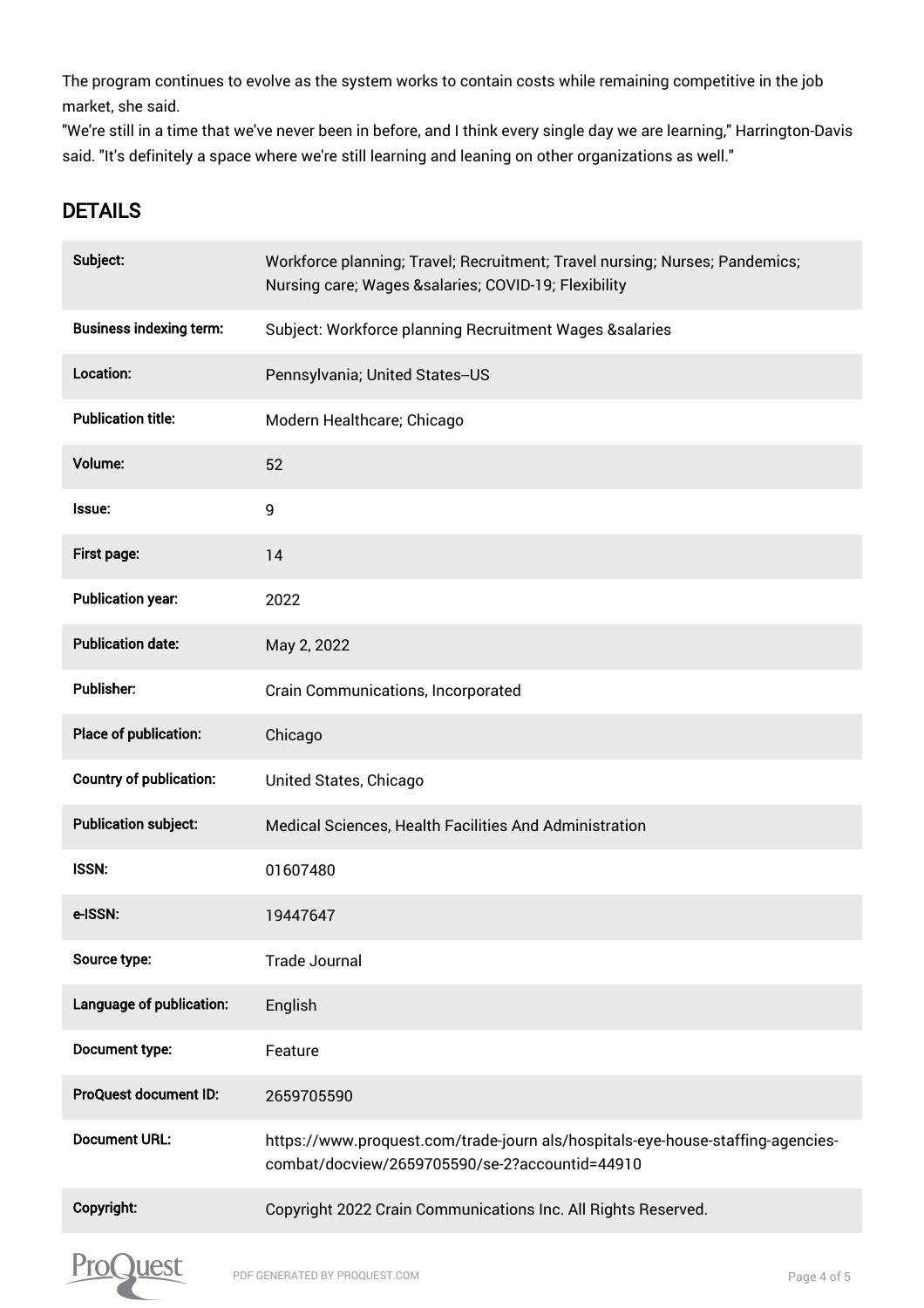The program continues to evolve as the system works to contain costs while remaining competitive in the job market, she said.

"We're still in a time that we've never been in before, and I think every single day we are learning," Harrington-Davis said. "It's definitely a space where we're still learning and leaning on other organizations as well."

### DETAILS

| Subject:                       | Workforce planning; Travel; Recruitment; Travel nursing; Nurses; Pandemics;<br>Nursing care; Wages &salaries COVID-19; Flexibility |
|--------------------------------|------------------------------------------------------------------------------------------------------------------------------------|
| <b>Business indexing term:</b> | Subject: Workforce planning Recruitment Wages &salaries                                                                            |
| Location:                      | Pennsylvania; United States--US                                                                                                    |
| <b>Publication title:</b>      | Modern Healthcare; Chicago                                                                                                         |
| Volume:                        | 52                                                                                                                                 |
| Issue:                         | 9                                                                                                                                  |
| First page:                    | 14                                                                                                                                 |
| <b>Publication year:</b>       | 2022                                                                                                                               |
| <b>Publication date:</b>       | May 2, 2022                                                                                                                        |
| Publisher:                     | <b>Crain Communications, Incorporated</b>                                                                                          |
| Place of publication:          | Chicago                                                                                                                            |
| <b>Country of publication:</b> | United States, Chicago                                                                                                             |
| <b>Publication subject:</b>    | Medical Sciences, Health Facilities And Administration                                                                             |
| <b>ISSN:</b>                   | 01607480                                                                                                                           |
| e-ISSN:                        | 19447647                                                                                                                           |
| Source type:                   | <b>Trade Journal</b>                                                                                                               |
| Language of publication:       | English                                                                                                                            |
| Document type:                 | Feature                                                                                                                            |
| ProQuest document ID:          | 2659705590                                                                                                                         |
| <b>Document URL:</b>           | https://www.proquest.com/trade-journ als/hospitals-eye-house-staffing-agencies-<br>combat/docview/2659705590/se-2?accountid=44910  |
| Copyright:                     | Copyright 2022 Crain Communications Inc. All Rights Reserved.                                                                      |